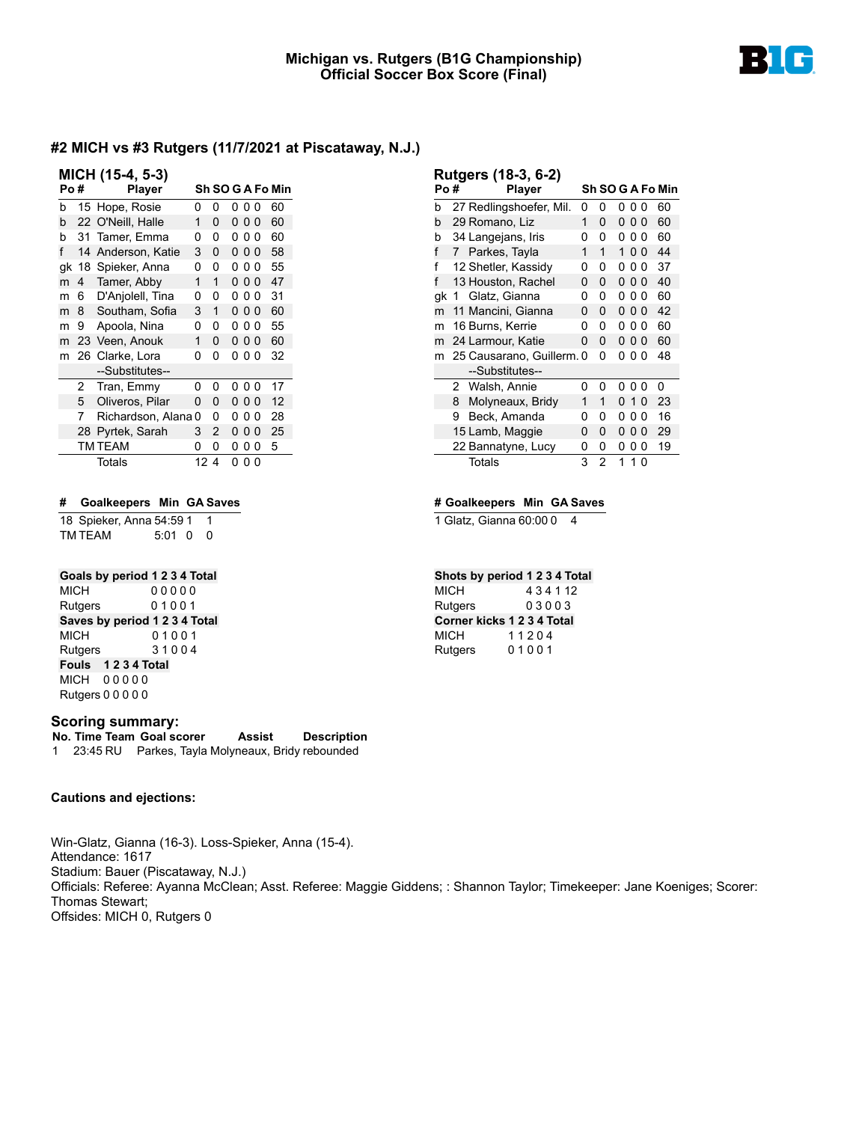

| MICH (15-4, 5-3) |    |                   |    |   |   |                |          |                  |  |  |  |
|------------------|----|-------------------|----|---|---|----------------|----------|------------------|--|--|--|
| Po#              |    | <b>Player</b>     |    |   |   |                |          | Sh SO G A Fo Min |  |  |  |
| b                |    | 15 Hope, Rosie    | 0  | 0 | 0 | _ റ  റ         |          | 60               |  |  |  |
| b                |    | 22 O'Neill, Halle | 1  | 0 |   | 000            |          | 60               |  |  |  |
| h                | 31 | Tamer, Emma       | 0  | 0 | 0 | 00             |          | 60               |  |  |  |
| f                | 14 | Anderson, Katie   | 3  | ŋ |   | 0 0 0          |          | 58               |  |  |  |
| gk               | 18 | Spieker, Anna     | 0  | 0 | 0 | 0              | 0        | 55               |  |  |  |
| m                | 4  | Tamer, Abby       | 1  | 1 |   | 000            |          | 47               |  |  |  |
| m                | 6  | D'Anjolell, Tina  | 0  | 0 | 0 | 00             |          | 31               |  |  |  |
| m                | 8  | Southam, Sofia    | 3  | 1 |   | 000            |          | 60               |  |  |  |
| m                | 9  | Apoola, Nina      | 0  | 0 | 0 | 0              | 0        | 55               |  |  |  |
| m                | 23 | Veen, Anouk       | 1  | ŋ | 0 | 0 <sub>0</sub> |          | 60               |  |  |  |
| m                | 26 | Clarke, Lora      | 0  | 0 | 0 | $\Omega$       | 0        | 32               |  |  |  |
|                  |    | --Substitutes--   |    |   |   |                |          |                  |  |  |  |
|                  | 2  | Tran, Emmy        | 0  | 0 | 0 | 00             |          | 17               |  |  |  |
|                  | 5  | Oliveros, Pilar   | 0  | 0 |   | 000            |          | 12               |  |  |  |
|                  | 7  | Richardson, Alana | 0  | 0 | 0 | 0              | 0        | 28               |  |  |  |
|                  | 28 | Pyrtek, Sarah     | 3  | 2 | 0 | 0              | $\Omega$ | 25               |  |  |  |
|                  |    | TM TEAM           | 0  | 0 | 0 | 0              | 0        | 5                |  |  |  |
|                  |    | Totals            | 12 | 4 | 0 | 0              | ŋ        |                  |  |  |  |

#### **# Goalkeepers Min GA Saves**

18 Spieker, Anna 54:59 1 1 TM TEAM 5:01 0 0

## **Goals by period 1 2 3 4 Total**

MICH 0 0 0 0 0 Rutgers 0 1 0 0 1 **Saves by period 1 2 3 4 Total** MICH 0 1 0 0 1 Rutgers 3 1 0 0 4 **Fouls 1 2 3 4 Total** MICH 0 0 0 0 0 Rutgers 0 0 0 0 0

#### **Scoring summary:**

**No. Time Team Goal scorer Assist Description** 1 23:45 RU Parkes, Tayla Molyneaux, Bridy rebounded

#### **Cautions and ejections:**

Win-Glatz, Gianna (16-3). Loss-Spieker, Anna (15-4). Attendance: 1617 Stadium: Bauer (Piscataway, N.J.) Officials: Referee: Ayanna McClean; Asst. Referee: Maggie Giddens; : Shannon Taylor; Timekeeper: Jane Koeniges; Scorer: Thomas Stewart; Offsides: MICH 0, Rutgers 0

| Po# |   | Rutgers (18-3, 6-2)<br><b>Player</b> |   |                |    |                |          | Sh SO G A Fo Min |
|-----|---|--------------------------------------|---|----------------|----|----------------|----------|------------------|
|     |   |                                      |   |                |    |                |          |                  |
| b   |   | 27 Redlingshoefer, Mil.              | 0 | 0              | 0  | ი ი            |          | 60               |
| h   |   | 29 Romano, Liz                       | 1 | 0              | 0  | 00             |          | 60               |
| h   |   | 34 Langejans, Iris                   | 0 | ŋ              | 0  | 0              | O        | 60               |
| f   | 7 | Parkes, Tayla                        | 1 | 1              | 1  | ი ი            |          | 44               |
| f   |   | 12 Shetler, Kassidy                  | n | ŋ              | 0  | 00             |          | 37               |
| f   |   | 13 Houston, Rachel                   | O | O              | n. | 0 <sub>0</sub> |          | 40               |
| gk  | 1 | Glatz, Gianna                        | 0 | 0              | 0  | 00             |          | 60               |
| m   |   | 11 Mancini, Gianna                   | 0 | 0              |    | 000            |          | 42               |
| m   |   | 16 Burns, Kerrie                     | 0 | 0              | 0  | 0              | 0        | 60               |
| m   |   | 24 Larmour, Katie                    | 0 | O              | U  | 0              | -0       | 60               |
| m   |   | 25 Causarano, Guillerm. 0            |   | O              | n  | n n            |          | 48               |
|     |   | --Substitutes--                      |   |                |    |                |          |                  |
|     | 2 | Walsh, Annie                         | 0 | 0              | n  | 0              | $\Omega$ | 0                |
|     | 8 | Molyneaux, Bridy                     | 1 | 1              |    | 010            |          | 23               |
|     | 9 | Beck, Amanda                         | 0 | 0              | 0  | 0              | 0        | 16               |
|     |   | 15 Lamb, Maggie                      | 0 | ŋ              | n  | 0              | $\Omega$ | 29               |
|     |   | 22 Bannatyne, Lucy                   | 0 | 0              | 0  | 0              | 0        | 19               |
|     |   | Totals                               | 3 | $\mathfrak{p}$ | 1  |                |          |                  |

#### **# Goalkeepers Min GA Saves**

1 Glatz, Gianna 60:00 0 4

# **Shots by period 1 2 3 4 Total**

MICH 4 3 4 1 12 Rutgers 0 3 0 0 3 **Corner kicks 1 2 3 4 Total** MICH 11204 Rutgers 0 1 0 0 1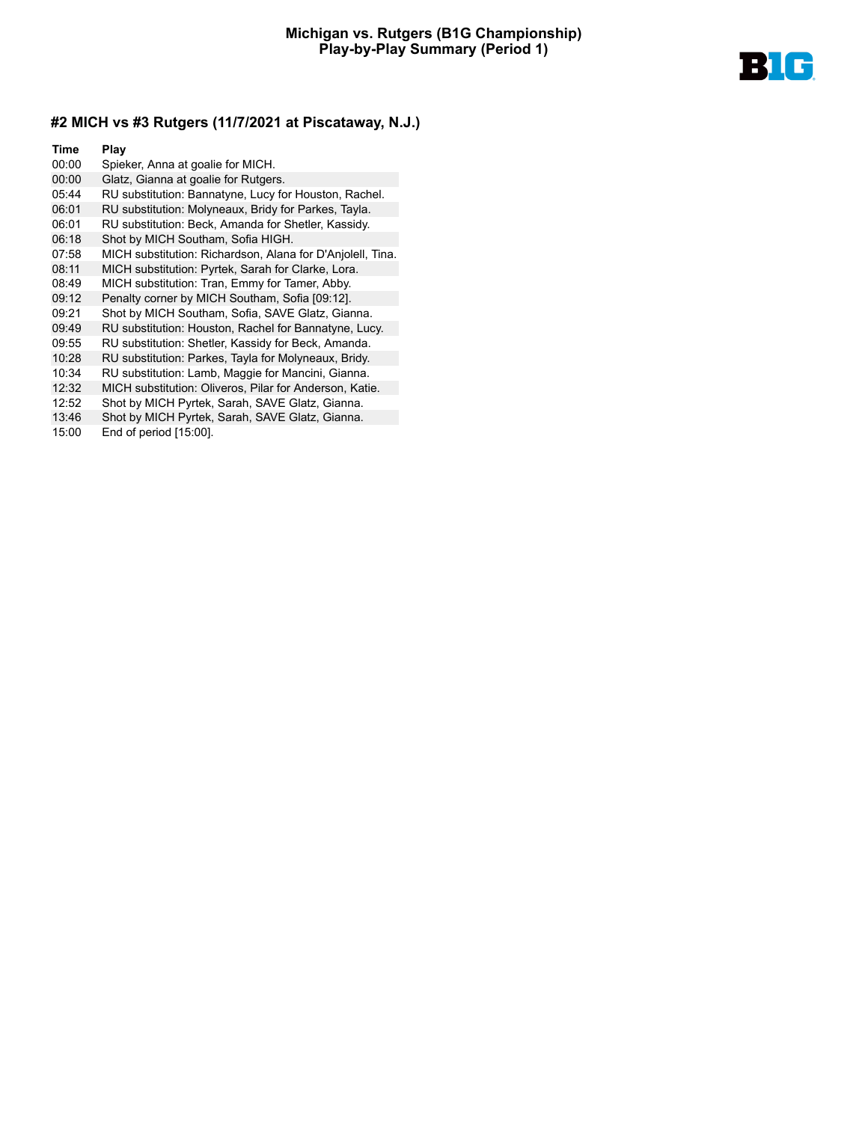

- 00:00 Spieker, Anna at goalie for MICH. 00:00 Glatz, Gianna at goalie for Rutgers. 05:44 RU substitution: Bannatyne, Lucy for Houston, Rachel. 06:01 RU substitution: Molyneaux, Bridy for Parkes, Tayla. 06:01 RU substitution: Beck, Amanda for Shetler, Kassidy. 06:18 Shot by MICH Southam, Sofia HIGH. 07:58 MICH substitution: Richardson, Alana for D'Anjolell, Tina. 08:11 MICH substitution: Pyrtek, Sarah for Clarke, Lora. 08:49 MICH substitution: Tran, Emmy for Tamer, Abby. 09:12 Penalty corner by MICH Southam, Sofia [09:12]. 09:21 Shot by MICH Southam, Sofia, SAVE Glatz, Gianna. 09:49 RU substitution: Houston, Rachel for Bannatyne, Lucy. 09:55 RU substitution: Shetler, Kassidy for Beck, Amanda. 10:28 RU substitution: Parkes, Tayla for Molyneaux, Bridy. 10:34 RU substitution: Lamb, Maggie for Mancini, Gianna. 12:32 MICH substitution: Oliveros, Pilar for Anderson, Katie. 12:52 Shot by MICH Pyrtek, Sarah, SAVE Glatz, Gianna. 13:46 Shot by MICH Pyrtek, Sarah, SAVE Glatz, Gianna.
- 15:00 End of period [15:00].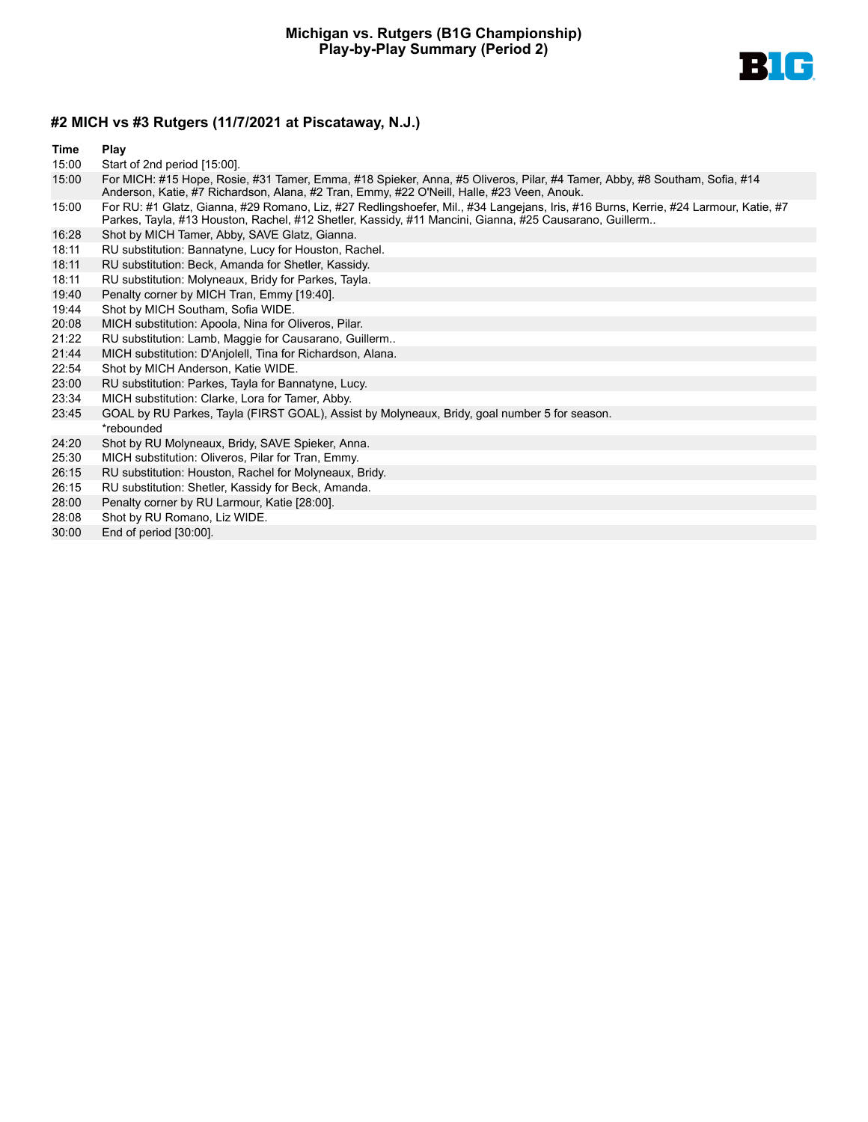

- 15:00 Start of 2nd period [15:00].
- 15:00 For MICH: #15 Hope, Rosie, #31 Tamer, Emma, #18 Spieker, Anna, #5 Oliveros, Pilar, #4 Tamer, Abby, #8 Southam, Sofia, #14 Anderson, Katie, #7 Richardson, Alana, #2 Tran, Emmy, #22 O'Neill, Halle, #23 Veen, Anouk.
- 15:00 For RU: #1 Glatz, Gianna, #29 Romano, Liz, #27 Redlingshoefer, Mil., #34 Langejans, Iris, #16 Burns, Kerrie, #24 Larmour, Katie, #7 Parkes, Tayla, #13 Houston, Rachel, #12 Shetler, Kassidy, #11 Mancini, Gianna, #25 Causarano, Guillerm..
- 16:28 Shot by MICH Tamer, Abby, SAVE Glatz, Gianna.
- 18:11 RU substitution: Bannatyne, Lucy for Houston, Rachel.
- 18:11 RU substitution: Beck, Amanda for Shetler, Kassidy.
- 18:11 RU substitution: Molyneaux, Bridy for Parkes, Tayla.
- 19:40 Penalty corner by MICH Tran, Emmy [19:40].
- 19:44 Shot by MICH Southam, Sofia WIDE.
- 20:08 MICH substitution: Apoola, Nina for Oliveros, Pilar.
- 21:22 RU substitution: Lamb, Maggie for Causarano, Guillerm..
- 21:44 MICH substitution: D'Anjolell, Tina for Richardson, Alana.
- 22:54 Shot by MICH Anderson, Katie WIDE.
- 23:00 RU substitution: Parkes, Tayla for Bannatyne, Lucy.
- 23:34 MICH substitution: Clarke, Lora for Tamer, Abby.
- 23:45 GOAL by RU Parkes, Tayla (FIRST GOAL), Assist by Molyneaux, Bridy, goal number 5 for season. \*rebounded
- 24:20 Shot by RU Molyneaux, Bridy, SAVE Spieker, Anna.
- 25:30 MICH substitution: Oliveros, Pilar for Tran, Emmy.
- 26:15 RU substitution: Houston, Rachel for Molyneaux, Bridy.
- 26:15 RU substitution: Shetler, Kassidy for Beck, Amanda.
- 28:00 Penalty corner by RU Larmour, Katie [28:00].
- 28:08 Shot by RU Romano, Liz WIDE.
- 30:00 End of period [30:00].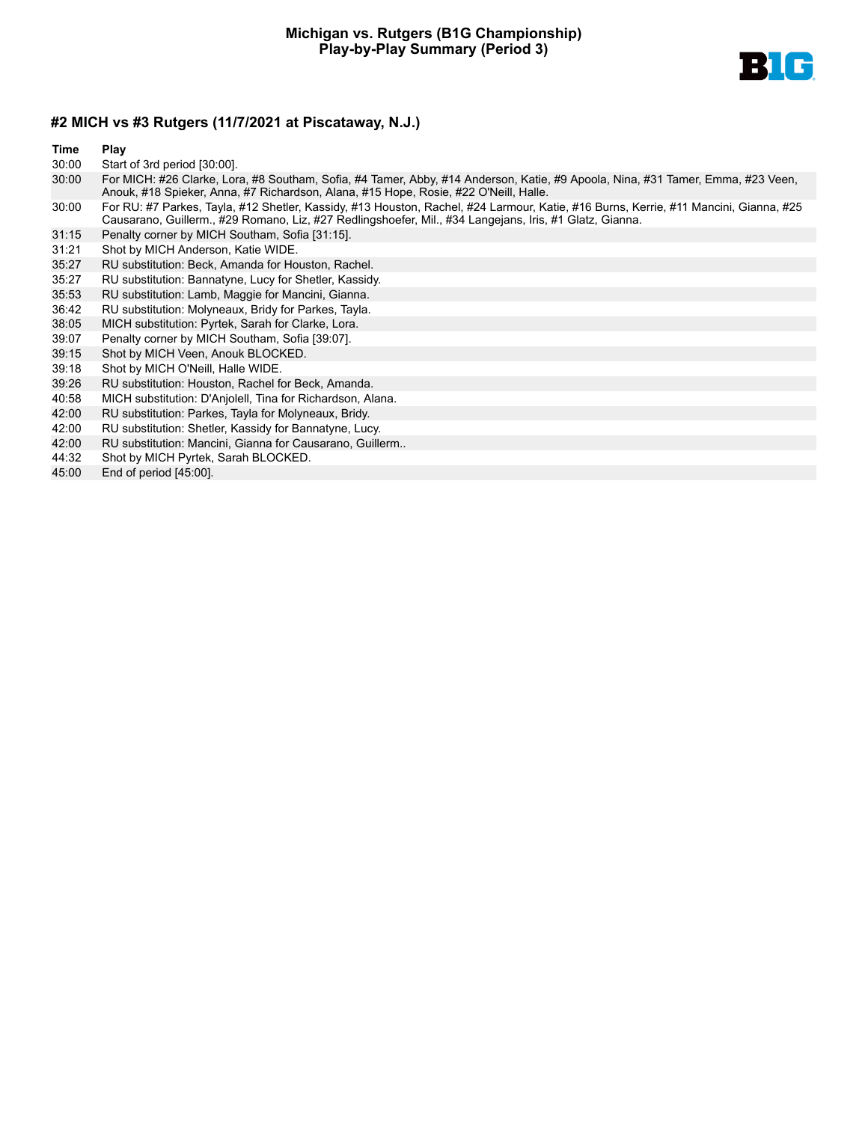

- 30:00 Start of 3rd period [30:00].
- 30:00 For MICH: #26 Clarke, Lora, #8 Southam, Sofia, #4 Tamer, Abby, #14 Anderson, Katie, #9 Apoola, Nina, #31 Tamer, Emma, #23 Veen, Anouk, #18 Spieker, Anna, #7 Richardson, Alana, #15 Hope, Rosie, #22 O'Neill, Halle.
- 30:00 For RU: #7 Parkes, Tayla, #12 Shetler, Kassidy, #13 Houston, Rachel, #24 Larmour, Katie, #16 Burns, Kerrie, #11 Mancini, Gianna, #25 Causarano, Guillerm., #29 Romano, Liz, #27 Redlingshoefer, Mil., #34 Langejans, Iris, #1 Glatz, Gianna.
- 31:15 Penalty corner by MICH Southam, Sofia [31:15].
- 31:21 Shot by MICH Anderson, Katie WIDE.
- 35:27 RU substitution: Beck, Amanda for Houston, Rachel.
- 35:27 RU substitution: Bannatyne, Lucy for Shetler, Kassidy.
- 35:53 RU substitution: Lamb, Maggie for Mancini, Gianna.
- 36:42 RU substitution: Molyneaux, Bridy for Parkes, Tayla.
- 38:05 MICH substitution: Pyrtek, Sarah for Clarke, Lora.
- 39:07 Penalty corner by MICH Southam, Sofia [39:07].
- 39:15 Shot by MICH Veen, Anouk BLOCKED.
- 39:18 Shot by MICH O'Neill, Halle WIDE.
- 39:26 RU substitution: Houston, Rachel for Beck, Amanda.
- 40:58 MICH substitution: D'Anjolell, Tina for Richardson, Alana.
- 42:00 RU substitution: Parkes, Tayla for Molyneaux, Bridy.
- 42:00 RU substitution: Shetler, Kassidy for Bannatyne, Lucy.
- 42:00 RU substitution: Mancini, Gianna for Causarano, Guillerm..
- 44:32 Shot by MICH Pyrtek, Sarah BLOCKED.
- 45:00 End of period [45:00].